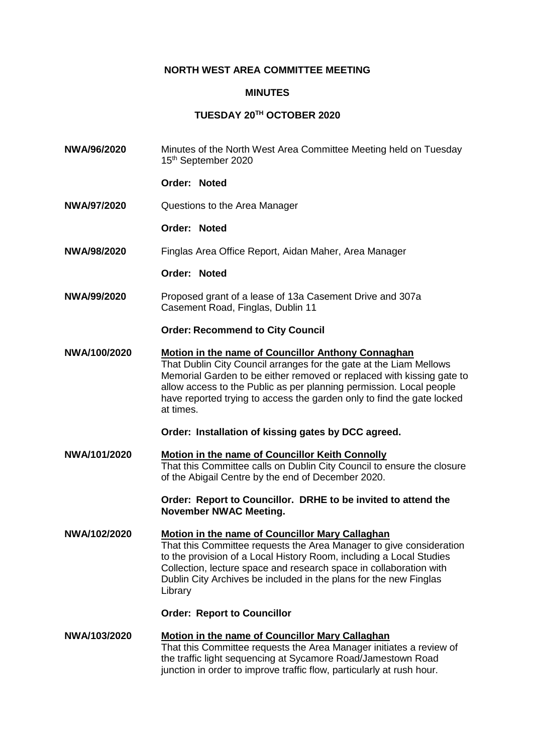## **NORTH WEST AREA COMMITTEE MEETING**

## **MINUTES**

## **TUESDAY 20TH OCTOBER 2020**

**NWA/96/2020** Minutes of the North West Area Committee Meeting held on Tuesday 15th September 2020 **Order: Noted NWA/97/2020** Questions to the Area Manager **Order: Noted NWA/98/2020** Finglas Area Office Report, Aidan Maher, Area Manager **Order: Noted NWA/99/2020** Proposed grant of a lease of 13a Casement Drive and 307a Casement Road, Finglas, Dublin 11 **Order: Recommend to City Council NWA/100/2020 Motion in the name of Councillor Anthony Connaghan** That Dublin City Council arranges for the gate at the Liam Mellows Memorial Garden to be either removed or replaced with kissing gate to allow access to the Public as per planning permission. Local people have reported trying to access the garden only to find the gate locked at times. **Order: Installation of kissing gates by DCC agreed. NWA/101/2020 Motion in the name of Councillor Keith Connolly** That this Committee calls on Dublin City Council to ensure the closure of the Abigail Centre by the end of December 2020. **Order: Report to Councillor. DRHE to be invited to attend the November NWAC Meeting. NWA/102/2020 Motion in the name of Councillor Mary Callaghan** That this Committee requests the Area Manager to give consideration to the provision of a Local History Room, including a Local Studies Collection, lecture space and research space in collaboration with Dublin City Archives be included in the plans for the new Finglas Library **Order: Report to Councillor NWA/103/2020 Motion in the name of Councillor Mary Callaghan** That this Committee requests the Area Manager initiates a review of the traffic light sequencing at Sycamore Road/Jamestown Road junction in order to improve traffic flow, particularly at rush hour.